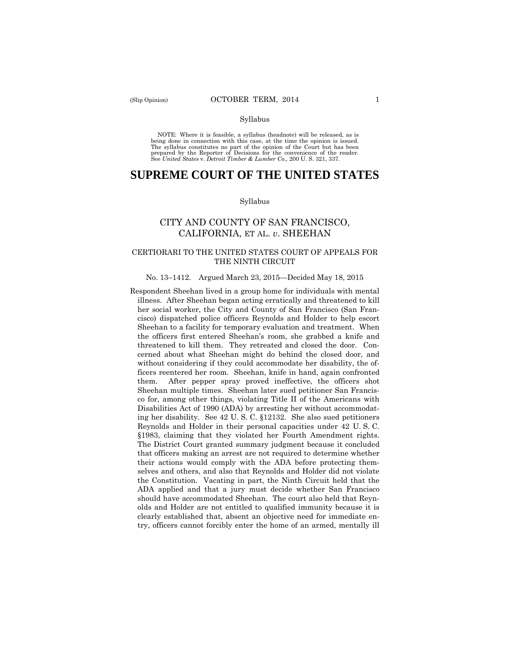#### Syllabus

 NOTE: Where it is feasible, a syllabus (headnote) will be released, as is being done in connection with this case, at the time the opinion is issued. The syllabus constitutes no part of the opinion of the Court but has been<br>prepared by the Reporter of Decisions for the convenience of the reader.<br>See United States v. Detroit Timber & Lumber Co., 200 U.S. 321, 337.

# **SUPREME COURT OF THE UNITED STATES**

#### Syllabus

# CITY AND COUNTY OF SAN FRANCISCO, CALIFORNIA, ET AL. *v*. SHEEHAN

### CERTIORARI TO THE UNITED STATES COURT OF APPEALS FOR THE NINTH CIRCUIT

#### No. 13–1412. Argued March 23, 2015—Decided May 18, 2015

Respondent Sheehan lived in a group home for individuals with mental illness. After Sheehan began acting erratically and threatened to kill her social worker, the City and County of San Francisco (San Francisco) dispatched police officers Reynolds and Holder to help escort Sheehan to a facility for temporary evaluation and treatment. When the officers first entered Sheehan's room, she grabbed a knife and threatened to kill them. They retreated and closed the door. Concerned about what Sheehan might do behind the closed door, and without considering if they could accommodate her disability, the officers reentered her room. Sheehan, knife in hand, again confronted them. After pepper spray proved ineffective, the officers shot Sheehan multiple times. Sheehan later sued petitioner San Francisco for, among other things, violating Title II of the Americans with Disabilities Act of 1990 (ADA) by arresting her without accommodating her disability. See 42 U. S. C. §12132. She also sued petitioners Reynolds and Holder in their personal capacities under 42 U. S. C. §1983, claiming that they violated her Fourth Amendment rights. The District Court granted summary judgment because it concluded that officers making an arrest are not required to determine whether their actions would comply with the ADA before protecting themselves and others, and also that Reynolds and Holder did not violate the Constitution. Vacating in part, the Ninth Circuit held that the ADA applied and that a jury must decide whether San Francisco should have accommodated Sheehan. The court also held that Reynolds and Holder are not entitled to qualified immunity because it is clearly established that, absent an objective need for immediate entry, officers cannot forcibly enter the home of an armed, mentally ill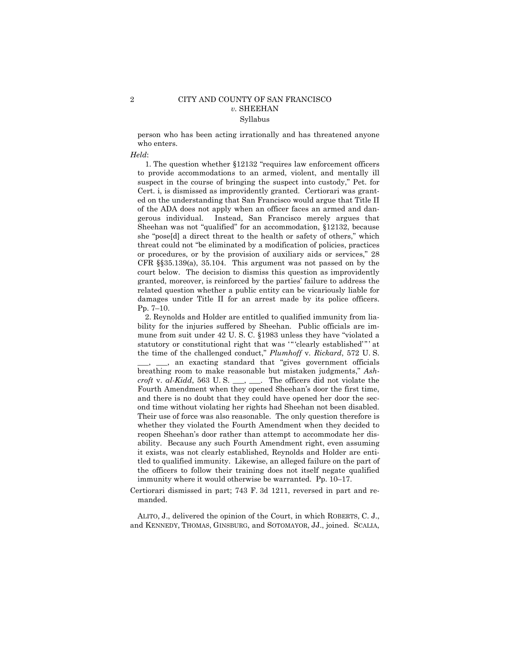person who has been acting irrationally and has threatened anyone who enters.

#### *Held*:

1. The question whether §12132 "requires law enforcement officers to provide accommodations to an armed, violent, and mentally ill suspect in the course of bringing the suspect into custody," Pet. for Cert. i, is dismissed as improvidently granted. Certiorari was granted on the understanding that San Francisco would argue that Title II of the ADA does not apply when an officer faces an armed and dangerous individual. Instead, San Francisco merely argues that Sheehan was not "qualified" for an accommodation, §12132, because she "pose[d] a direct threat to the health or safety of others," which threat could not "be eliminated by a modification of policies, practices or procedures, or by the provision of auxiliary aids or services," 28 CFR §§35.139(a), 35.104. This argument was not passed on by the court below. The decision to dismiss this question as improvidently granted, moreover, is reinforced by the parties' failure to address the related question whether a public entity can be vicariously liable for damages under Title II for an arrest made by its police officers. Pp. 7–10.

statutory or constitutional right that was "" clearly established"" at  *croft* v. *al-Kidd*, 563 U. S. \_\_\_, \_\_\_. The officers did not violate the ond time without violating her rights had Sheehan not been disabled. 2. Reynolds and Holder are entitled to qualified immunity from liability for the injuries suffered by Sheehan. Public officials are immune from suit under 42 U. S. C. §1983 unless they have "violated a the time of the challenged conduct," *Plumhoff* v. *Rickard*, 572 U. S. \_\_\_, \_\_\_, an exacting standard that "gives government officials breathing room to make reasonable but mistaken judgments," *Ash-*Fourth Amendment when they opened Sheehan's door the first time, and there is no doubt that they could have opened her door the sec-Their use of force was also reasonable. The only question therefore is whether they violated the Fourth Amendment when they decided to reopen Sheehan's door rather than attempt to accommodate her disability. Because any such Fourth Amendment right, even assuming it exists, was not clearly established, Reynolds and Holder are entitled to qualified immunity. Likewise, an alleged failure on the part of the officers to follow their training does not itself negate qualified immunity where it would otherwise be warranted. Pp. 10–17.

Certiorari dismissed in part; 743 F. 3d 1211, reversed in part and remanded.

ALITO, J., delivered the opinion of the Court, in which ROBERTS, C. J., and KENNEDY, THOMAS, GINSBURG, and SOTOMAYOR, JJ., joined. SCALIA,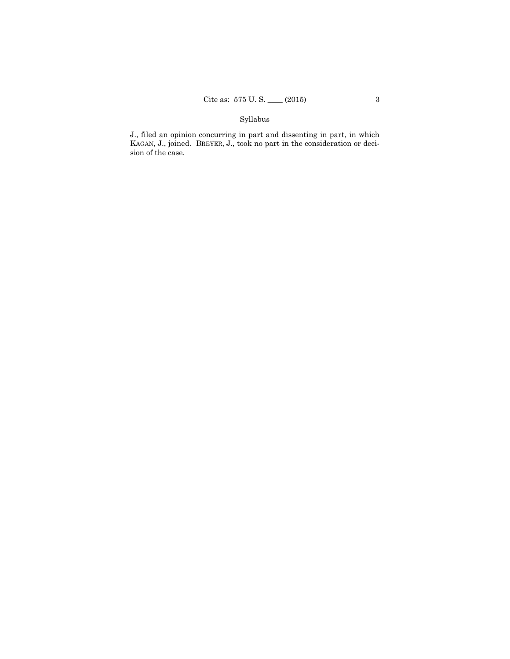# Syllabus

J., filed an opinion concurring in part and dissenting in part, in which KAGAN, J., joined. BREYER, J., took no part in the consideration or decision of the case.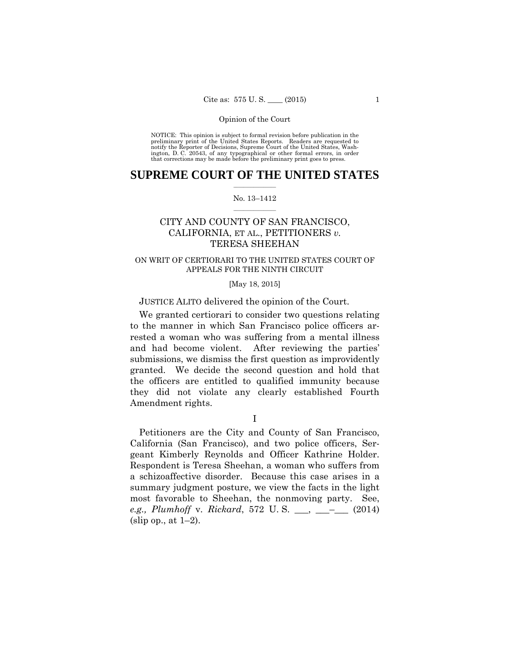preliminary print of the United States Reports. Readers are requested to notify the Reporter of Decisions, Supreme Court of the United States, Wash- ington, D. C. 20543, of any typographical or other formal errors, in order that corrections may be made before the preliminary print goes to press. NOTICE: This opinion is subject to formal revision before publication in the

### $\frac{1}{2}$  ,  $\frac{1}{2}$  ,  $\frac{1}{2}$  ,  $\frac{1}{2}$  ,  $\frac{1}{2}$  ,  $\frac{1}{2}$  ,  $\frac{1}{2}$ **SUPREME COURT OF THE UNITED STATES**

#### $\frac{1}{2}$  ,  $\frac{1}{2}$  ,  $\frac{1}{2}$  ,  $\frac{1}{2}$  ,  $\frac{1}{2}$  ,  $\frac{1}{2}$ No. 13–1412

# CITY AND COUNTY OF SAN FRANCISCO, CALIFORNIA, ET AL., PETITIONERS *v.* TERESA SHEEHAN

### ON WRIT OF CERTIORARI TO THE UNITED STATES COURT OF APPEALS FOR THE NINTH CIRCUIT

# [May 18, 2015]

## JUSTICE ALITO delivered the opinion of the Court.

We granted certiorari to consider two questions relating to the manner in which San Francisco police officers arrested a woman who was suffering from a mental illness and had become violent. After reviewing the parties' submissions, we dismiss the first question as improvidently granted. We decide the second question and hold that the officers are entitled to qualified immunity because they did not violate any clearly established Fourth Amendment rights.

I

Petitioners are the City and County of San Francisco, California (San Francisco), and two police officers, Sergeant Kimberly Reynolds and Officer Kathrine Holder. Respondent is Teresa Sheehan, a woman who suffers from a schizoaffective disorder. Because this case arises in a summary judgment posture, we view the facts in the light most favorable to Sheehan, the nonmoving party. See, *e.g., Plumhoff* v. *Rickard*, 572 U. S. \_\_\_, \_\_\_–\_\_\_ (2014)  $(slip op., at 1-2).$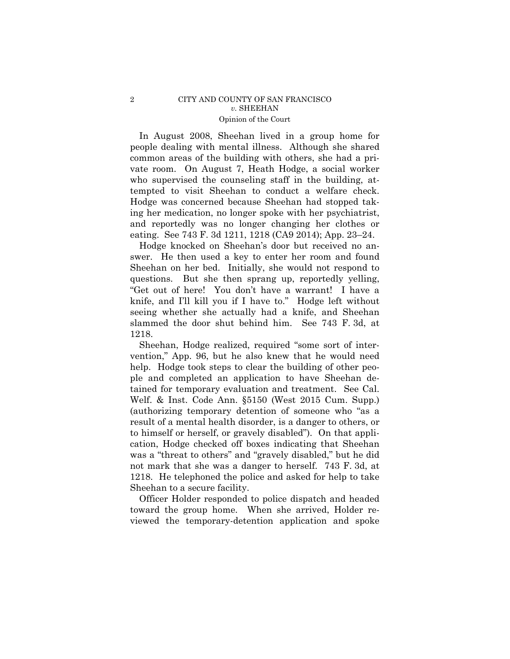In August 2008, Sheehan lived in a group home for people dealing with mental illness. Although she shared common areas of the building with others, she had a private room. On August 7, Heath Hodge, a social worker who supervised the counseling staff in the building, attempted to visit Sheehan to conduct a welfare check. Hodge was concerned because Sheehan had stopped taking her medication, no longer spoke with her psychiatrist, and reportedly was no longer changing her clothes or eating. See 743 F. 3d 1211, 1218 (CA9 2014); App. 23–24.

Hodge knocked on Sheehan's door but received no answer. He then used a key to enter her room and found Sheehan on her bed. Initially, she would not respond to questions. But she then sprang up, reportedly yelling, "Get out of here! You don't have a warrant! I have a knife, and I'll kill you if I have to." Hodge left without seeing whether she actually had a knife, and Sheehan slammed the door shut behind him. See 743 F. 3d, at 1218.

Sheehan, Hodge realized, required "some sort of intervention," App. 96, but he also knew that he would need help. Hodge took steps to clear the building of other people and completed an application to have Sheehan detained for temporary evaluation and treatment. See Cal. Welf. & Inst. Code Ann. §5150 (West 2015 Cum. Supp.) (authorizing temporary detention of someone who "as a result of a mental health disorder, is a danger to others, or to himself or herself, or gravely disabled"). On that application, Hodge checked off boxes indicating that Sheehan was a "threat to others" and "gravely disabled," but he did not mark that she was a danger to herself. 743 F. 3d, at 1218. He telephoned the police and asked for help to take Sheehan to a secure facility.

Officer Holder responded to police dispatch and headed toward the group home. When she arrived, Holder reviewed the temporary-detention application and spoke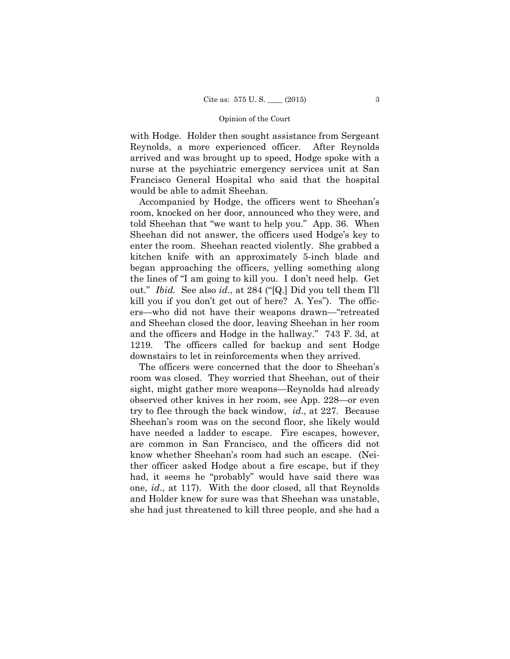with Hodge. Holder then sought assistance from Sergeant Reynolds, a more experienced officer. After Reynolds arrived and was brought up to speed, Hodge spoke with a nurse at the psychiatric emergency services unit at San Francisco General Hospital who said that the hospital would be able to admit Sheehan.

Accompanied by Hodge, the officers went to Sheehan's room, knocked on her door, announced who they were, and told Sheehan that "we want to help you." App. 36. When Sheehan did not answer, the officers used Hodge's key to enter the room. Sheehan reacted violently. She grabbed a kitchen knife with an approximately 5-inch blade and began approaching the officers, yelling something along the lines of "I am going to kill you. I don't need help. Get out." *Ibid.* See also *id*., at 284 ("[Q.] Did you tell them I'll kill you if you don't get out of here? A. Yes"). The officers—who did not have their weapons drawn—"retreated and Sheehan closed the door, leaving Sheehan in her room and the officers and Hodge in the hallway." 743 F. 3d, at 1219. The officers called for backup and sent Hodge downstairs to let in reinforcements when they arrived.

The officers were concerned that the door to Sheehan's room was closed. They worried that Sheehan, out of their sight, might gather more weapons—Reynolds had already observed other knives in her room, see App. 228—or even try to flee through the back window, *id*., at 227. Because Sheehan's room was on the second floor, she likely would have needed a ladder to escape. Fire escapes, however, are common in San Francisco, and the officers did not know whether Sheehan's room had such an escape. (Neither officer asked Hodge about a fire escape, but if they had, it seems he "probably" would have said there was one, *id*., at 117). With the door closed, all that Reynolds and Holder knew for sure was that Sheehan was unstable, she had just threatened to kill three people, and she had a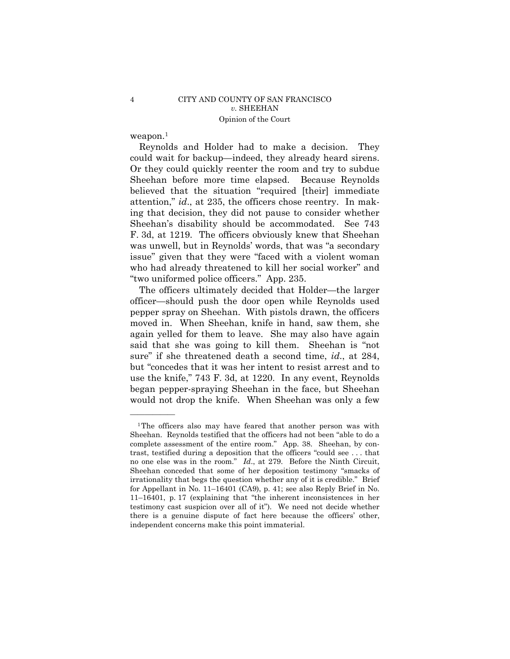weapon.1

——————

Reynolds and Holder had to make a decision. They could wait for backup—indeed, they already heard sirens. Or they could quickly reenter the room and try to subdue Sheehan before more time elapsed. Because Reynolds believed that the situation "required [their] immediate attention," *id*., at 235, the officers chose reentry. In making that decision, they did not pause to consider whether Sheehan's disability should be accommodated. See 743 F. 3d, at 1219. The officers obviously knew that Sheehan was unwell, but in Reynolds' words, that was "a secondary issue" given that they were "faced with a violent woman who had already threatened to kill her social worker" and "two uniformed police officers." App. 235.

The officers ultimately decided that Holder—the larger officer—should push the door open while Reynolds used pepper spray on Sheehan. With pistols drawn, the officers moved in. When Sheehan, knife in hand, saw them, she again yelled for them to leave. She may also have again said that she was going to kill them. Sheehan is "not sure" if she threatened death a second time, *id*., at 284, but "concedes that it was her intent to resist arrest and to use the knife," 743 F. 3d, at 1220. In any event, Reynolds began pepper-spraying Sheehan in the face, but Sheehan would not drop the knife. When Sheehan was only a few

<sup>&</sup>lt;sup>1</sup>The officers also may have feared that another person was with Sheehan. Reynolds testified that the officers had not been "able to do a complete assessment of the entire room." App. 38. Sheehan, by contrast, testified during a deposition that the officers "could see . . . that no one else was in the room." *Id*., at 279. Before the Ninth Circuit, Sheehan conceded that some of her deposition testimony "smacks of irrationality that begs the question whether any of it is credible." Brief for Appellant in No. 11–16401 (CA9), p. 41; see also Reply Brief in No. 11–16401, p. 17 (explaining that "the inherent inconsistences in her testimony cast suspicion over all of it"). We need not decide whether there is a genuine dispute of fact here because the officers' other, independent concerns make this point immaterial.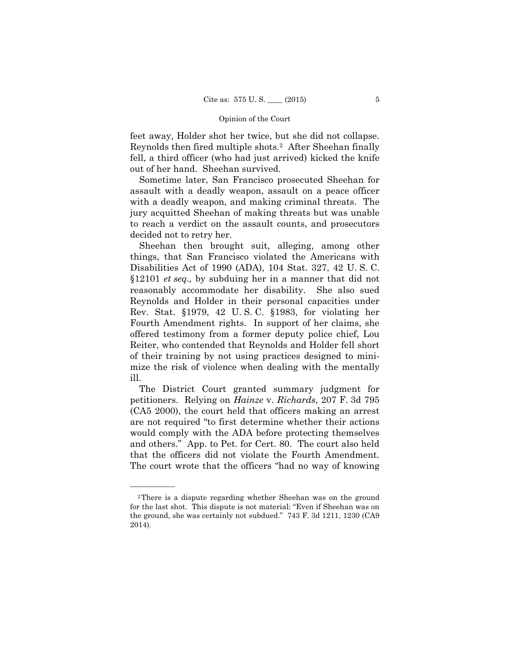feet away, Holder shot her twice, but she did not collapse. Reynolds then fired multiple shots.2 After Sheehan finally fell, a third officer (who had just arrived) kicked the knife out of her hand. Sheehan survived.

Sometime later, San Francisco prosecuted Sheehan for assault with a deadly weapon, assault on a peace officer with a deadly weapon, and making criminal threats. The jury acquitted Sheehan of making threats but was unable to reach a verdict on the assault counts, and prosecutors decided not to retry her.

Sheehan then brought suit, alleging, among other things, that San Francisco violated the Americans with Disabilities Act of 1990 (ADA), 104 Stat. 327, 42 U. S. C. §12101 *et seq.,* by subduing her in a manner that did not reasonably accommodate her disability. She also sued Reynolds and Holder in their personal capacities under Rev. Stat. §1979, 42 U. S. C. §1983, for violating her Fourth Amendment rights. In support of her claims, she offered testimony from a former deputy police chief, Lou Reiter, who contended that Reynolds and Holder fell short of their training by not using practices designed to minimize the risk of violence when dealing with the mentally ill.

The District Court granted summary judgment for petitioners. Relying on *Hainze* v. *Richards*, 207 F. 3d 795 (CA5 2000), the court held that officers making an arrest are not required "to first determine whether their actions would comply with the ADA before protecting themselves and others." App. to Pet. for Cert. 80. The court also held that the officers did not violate the Fourth Amendment. The court wrote that the officers "had no way of knowing

——————

<sup>2</sup>There is a dispute regarding whether Sheehan was on the ground for the last shot. This dispute is not material: "Even if Sheehan was on the ground, she was certainly not subdued." 743 F. 3d 1211, 1230 (CA9 2014).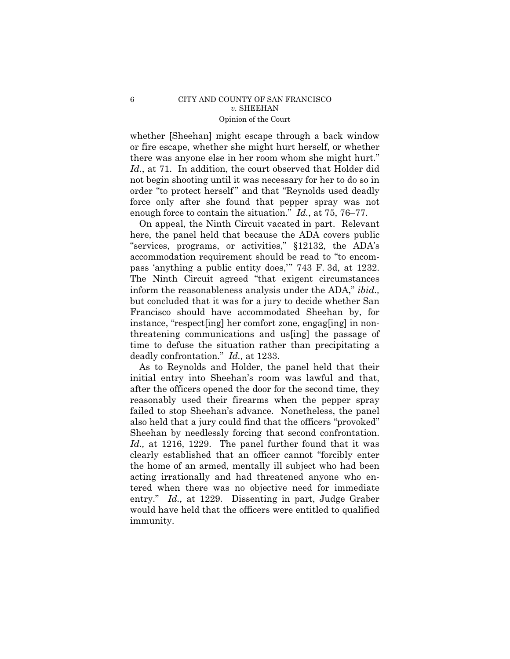whether [Sheehan] might escape through a back window or fire escape, whether she might hurt herself, or whether there was anyone else in her room whom she might hurt." *Id.*, at 71. In addition, the court observed that Holder did not begin shooting until it was necessary for her to do so in order "to protect herself " and that "Reynolds used deadly force only after she found that pepper spray was not enough force to contain the situation." *Id.*, at 75, 76–77.

On appeal, the Ninth Circuit vacated in part. Relevant here, the panel held that because the ADA covers public "services, programs, or activities," §12132, the ADA's accommodation requirement should be read to "to encompass 'anything a public entity does,'" 743 F. 3d, at 1232. The Ninth Circuit agreed "that exigent circumstances inform the reasonableness analysis under the ADA," *ibid.,*  but concluded that it was for a jury to decide whether San Francisco should have accommodated Sheehan by, for instance, "respect[ing] her comfort zone, engag[ing] in nonthreatening communications and us[ing] the passage of time to defuse the situation rather than precipitating a deadly confrontation." *Id.,* at 1233.

As to Reynolds and Holder, the panel held that their initial entry into Sheehan's room was lawful and that, after the officers opened the door for the second time, they reasonably used their firearms when the pepper spray failed to stop Sheehan's advance. Nonetheless, the panel also held that a jury could find that the officers "provoked" Sheehan by needlessly forcing that second confrontation. *Id.,* at 1216, 1229. The panel further found that it was clearly established that an officer cannot "forcibly enter the home of an armed, mentally ill subject who had been acting irrationally and had threatened anyone who entered when there was no objective need for immediate entry." *Id.,* at 1229. Dissenting in part, Judge Graber would have held that the officers were entitled to qualified immunity.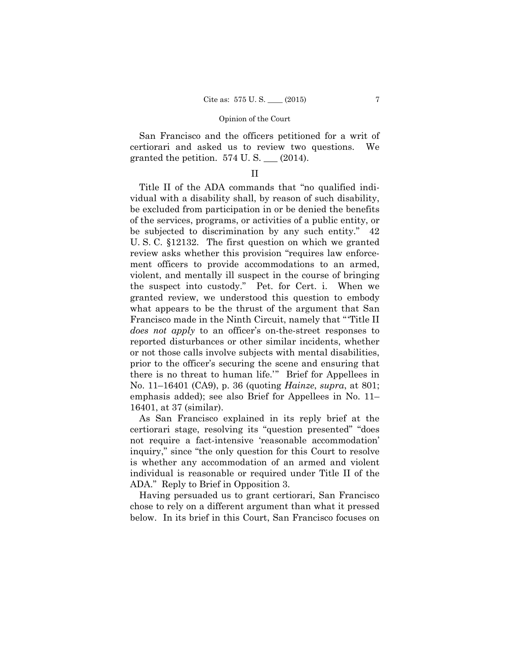San Francisco and the officers petitioned for a writ of certiorari and asked us to review two questions. We granted the petition.  $574$  U. S.  $\_\_$  (2014).

# II

Title II of the ADA commands that "no qualified individual with a disability shall, by reason of such disability, be excluded from participation in or be denied the benefits of the services, programs, or activities of a public entity, or be subjected to discrimination by any such entity." 42 U. S. C. §12132. The first question on which we granted review asks whether this provision "requires law enforcement officers to provide accommodations to an armed, violent, and mentally ill suspect in the course of bringing the suspect into custody." Pet. for Cert. i. When we granted review, we understood this question to embody what appears to be the thrust of the argument that San Francisco made in the Ninth Circuit, namely that "'Title II *does not apply* to an officer's on-the-street responses to reported disturbances or other similar incidents, whether or not those calls involve subjects with mental disabilities, prior to the officer's securing the scene and ensuring that there is no threat to human life.'" Brief for Appellees in No. 11–16401 (CA9), p. 36 (quoting *Hainze*, *supra*, at 801; emphasis added); see also Brief for Appellees in No. 11– 16401, at 37 (similar).

As San Francisco explained in its reply brief at the certiorari stage, resolving its "question presented" "does not require a fact-intensive 'reasonable accommodation' inquiry," since "the only question for this Court to resolve is whether any accommodation of an armed and violent individual is reasonable or required under Title II of the ADA." Reply to Brief in Opposition 3.

Having persuaded us to grant certiorari, San Francisco chose to rely on a different argument than what it pressed below. In its brief in this Court, San Francisco focuses on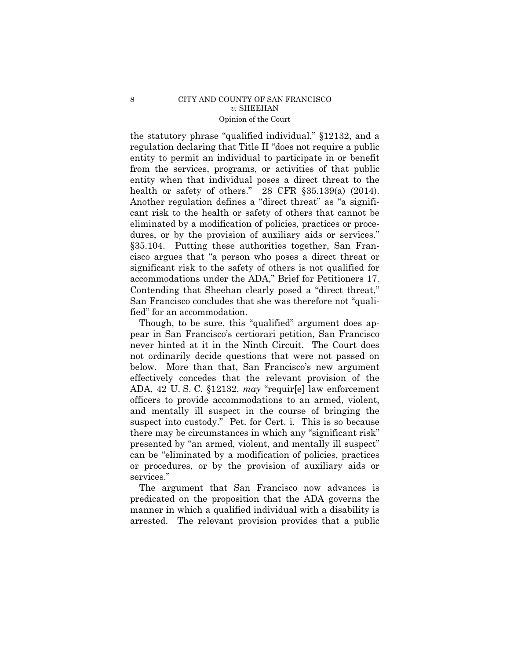the statutory phrase "qualified individual," §12132, and a regulation declaring that Title II "does not require a public entity to permit an individual to participate in or benefit from the services, programs, or activities of that public entity when that individual poses a direct threat to the health or safety of others."  $28$  CFR  $\S 35.139(a)$  (2014). Another regulation defines a "direct threat" as "a significant risk to the health or safety of others that cannot be eliminated by a modification of policies, practices or procedures, or by the provision of auxiliary aids or services." §35.104. Putting these authorities together, San Francisco argues that "a person who poses a direct threat or significant risk to the safety of others is not qualified for accommodations under the ADA," Brief for Petitioners 17. Contending that Sheehan clearly posed a "direct threat," San Francisco concludes that she was therefore not "qualified" for an accommodation.

Though, to be sure, this "qualified" argument does appear in San Francisco's certiorari petition, San Francisco never hinted at it in the Ninth Circuit. The Court does not ordinarily decide questions that were not passed on below. More than that, San Francisco's new argument effectively concedes that the relevant provision of the ADA, 42 U. S. C. §12132, *may* "requir[e] law enforcement officers to provide accommodations to an armed, violent, and mentally ill suspect in the course of bringing the suspect into custody." Pet. for Cert. i. This is so because there may be circumstances in which any "significant risk" presented by "an armed, violent, and mentally ill suspect" can be "eliminated by a modification of policies, practices or procedures, or by the provision of auxiliary aids or services."

The argument that San Francisco now advances is predicated on the proposition that the ADA governs the manner in which a qualified individual with a disability is arrested. The relevant provision provides that a public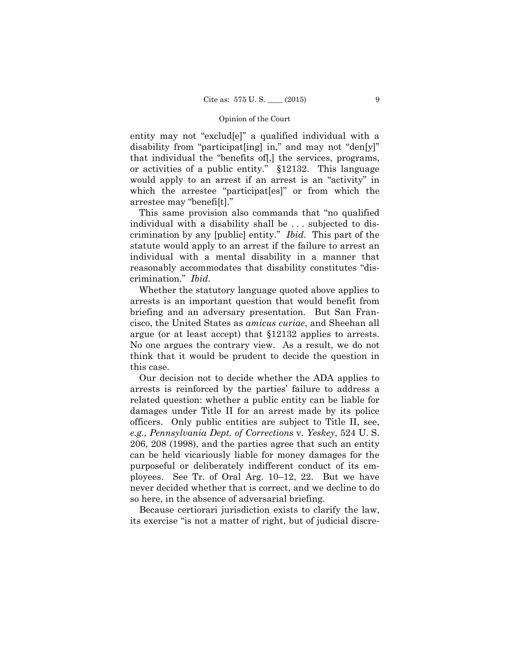entity may not "exclud[e]" a qualified individual with a disability from "participat[ing] in," and may not "den[y]" that individual the "benefits of[,] the services, programs, or activities of a public entity." §12132. This language would apply to an arrest if an arrest is an "activity" in which the arrestee "participat[es]" or from which the arrestee may "benefi[t]."

 crimination by any [public] entity." *Ibid.* This part of the This same provision also commands that "no qualified individual with a disability shall be . . . subjected to disstatute would apply to an arrest if the failure to arrest an individual with a mental disability in a manner that reasonably accommodates that disability constitutes "discrimination." *Ibid.* 

Whether the statutory language quoted above applies to arrests is an important question that would benefit from briefing and an adversary presentation. But San Francisco, the United States as *amicus curiae*, and Sheehan all argue (or at least accept) that §12132 applies to arrests. No one argues the contrary view. As a result, we do not think that it would be prudent to decide the question in this case.

Our decision not to decide whether the ADA applies to arrests is reinforced by the parties' failure to address a related question: whether a public entity can be liable for damages under Title II for an arrest made by its police officers. Only public entities are subject to Title II, see, *e.g., Pennsylvania Dept. of Corrections* v. *Yeskey*, 524 U. S. 206, 208 (1998), and the parties agree that such an entity can be held vicariously liable for money damages for the purposeful or deliberately indifferent conduct of its employees. See Tr. of Oral Arg. 10–12, 22. But we have never decided whether that is correct, and we decline to do so here, in the absence of adversarial briefing.

Because certiorari jurisdiction exists to clarify the law, its exercise "is not a matter of right, but of judicial discre-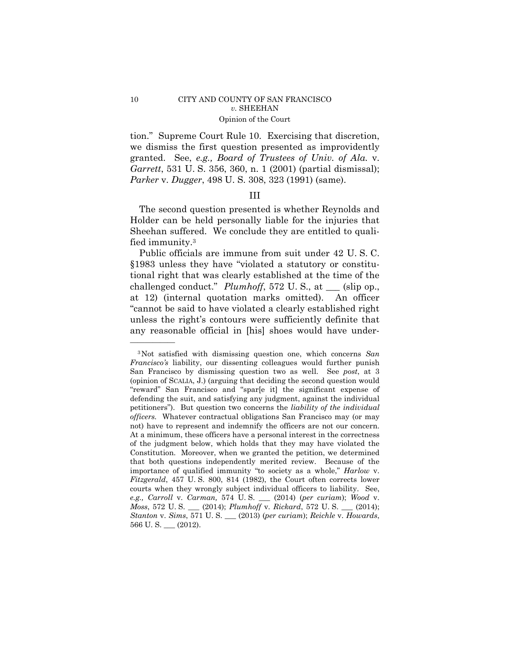tion." Supreme Court Rule 10. Exercising that discretion, we dismiss the first question presented as improvidently granted. See, *e.g., Board of Trustees of Univ. of Ala.* v. *Garrett*, 531 U. S. 356, 360, n. 1 (2001) (partial dismissal); *Parker* v. *Dugger*, 498 U. S. 308, 323 (1991) (same).

### III

The second question presented is whether Reynolds and Holder can be held personally liable for the injuries that Sheehan suffered. We conclude they are entitled to qualified immunity.3

Public officials are immune from suit under 42 U. S. C. §1983 unless they have "violated a statutory or constitutional right that was clearly established at the time of the challenged conduct." *Plumhoff*, 572 U. S., at \_\_\_ (slip op., at 12) (internal quotation marks omitted). An officer "cannot be said to have violated a clearly established right unless the right's contours were sufficiently definite that any reasonable official in [his] shoes would have under-

——————

<sup>3</sup>Not satisfied with dismissing question one, which concerns *San Francisco's* liability, our dissenting colleagues would further punish San Francisco by dismissing question two as well. See *post*, at 3 (opinion of SCALIA, J.) (arguing that deciding the second question would "reward" San Francisco and "spar[e it] the significant expense of defending the suit, and satisfying any judgment, against the individual petitioners"). But question two concerns the *liability of the individual officers.* Whatever contractual obligations San Francisco may (or may not) have to represent and indemnify the officers are not our concern. At a minimum, these officers have a personal interest in the correctness of the judgment below, which holds that they may have violated the Constitution. Moreover, when we granted the petition, we determined that both questions independently merited review. Because of the importance of qualified immunity "to society as a whole," *Harlow* v. *Fitzgerald*, 457 U. S. 800, 814 (1982), the Court often corrects lower courts when they wrongly subject individual officers to liability. See, *e.g., Carroll* v. *Carman,* 574 U. S. \_\_\_ (2014) (*per curiam*); *Wood* v. *Moss*, 572 U. S. \_\_\_ (2014); *Plumhoff* v. *Rickard*, 572 U. S. \_\_\_ (2014); *Stanton* v. *Sims*, 571 U. S. \_\_\_ (2013) (*per curiam*); *Reichle* v. *Howards*, 566 U. S. \_\_\_ (2012).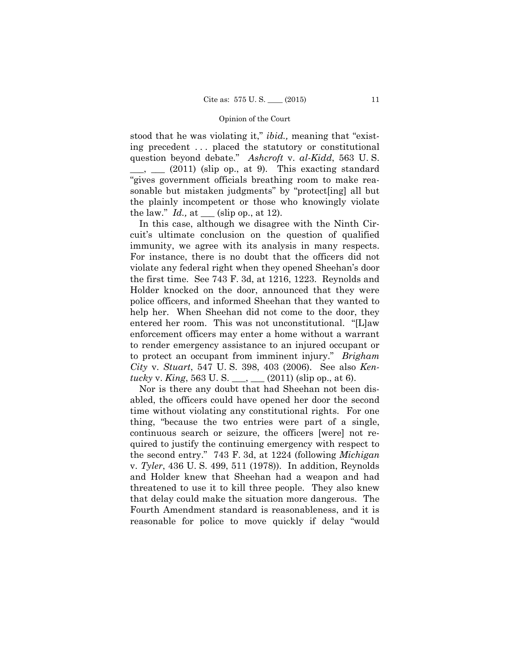stood that he was violating it," *ibid.,* meaning that "existing precedent . . . placed the statutory or constitutional question beyond debate." *Ashcroft* v. *al-Kidd*, 563 U. S.  $\frac{1}{\sqrt{2}}$  (2011) (slip op., at 9). This exacting standard "gives government officials breathing room to make reasonable but mistaken judgments" by "protect[ing] all but the plainly incompetent or those who knowingly violate the law."  $Id.$ , at  $\_\_\_\$  (slip op., at 12).

In this case, although we disagree with the Ninth Circuit's ultimate conclusion on the question of qualified immunity, we agree with its analysis in many respects. For instance, there is no doubt that the officers did not violate any federal right when they opened Sheehan's door the first time. See 743 F. 3d, at 1216, 1223. Reynolds and Holder knocked on the door, announced that they were police officers, and informed Sheehan that they wanted to help her. When Sheehan did not come to the door, they entered her room. This was not unconstitutional. "[L]aw enforcement officers may enter a home without a warrant to render emergency assistance to an injured occupant or to protect an occupant from imminent injury." *Brigham City* v. *Stuart*, 547 U. S. 398, 403 (2006). See also *Kentucky* v. *King*, 563 U. S. \_\_\_, \_\_\_ (2011) (slip op., at 6).

Nor is there any doubt that had Sheehan not been disabled, the officers could have opened her door the second time without violating any constitutional rights. For one thing, "because the two entries were part of a single, continuous search or seizure, the officers [were] not required to justify the continuing emergency with respect to the second entry." 743 F. 3d, at 1224 (following *Michigan*  v. *Tyler*, 436 U. S. 499, 511 (1978)). In addition, Reynolds and Holder knew that Sheehan had a weapon and had threatened to use it to kill three people. They also knew that delay could make the situation more dangerous. The Fourth Amendment standard is reasonableness, and it is reasonable for police to move quickly if delay "would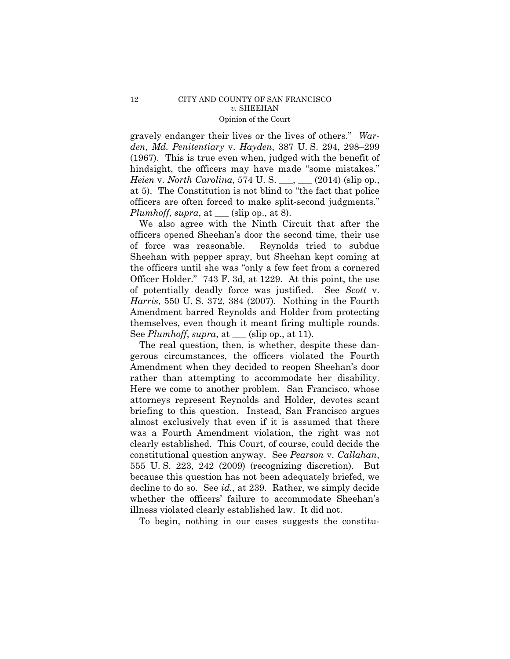gravely endanger their lives or the lives of others." *Warden, Md. Penitentiary* v. *Hayden*, 387 U. S. 294, 298–299 (1967). This is true even when, judged with the benefit of hindsight, the officers may have made "some mistakes." *Heien* v. *North Carolina*, 574 U. S. \_\_\_, \_\_\_ (2014) (slip op., at 5). The Constitution is not blind to "the fact that police officers are often forced to make split-second judgments." *Plumhoff*, *supra*, at \_\_\_ (slip op., at 8).

We also agree with the Ninth Circuit that after the officers opened Sheehan's door the second time, their use of force was reasonable. Reynolds tried to subdue Sheehan with pepper spray, but Sheehan kept coming at the officers until she was "only a few feet from a cornered Officer Holder." 743 F. 3d, at 1229. At this point, the use of potentially deadly force was justified. See *Scott* v. *Harris*, 550 U. S. 372, 384 (2007). Nothing in the Fourth Amendment barred Reynolds and Holder from protecting themselves, even though it meant firing multiple rounds. See *Plumhoff*, *supra*, at \_\_\_ (slip op., at 11).

The real question, then, is whether, despite these dangerous circumstances, the officers violated the Fourth Amendment when they decided to reopen Sheehan's door rather than attempting to accommodate her disability. Here we come to another problem. San Francisco, whose attorneys represent Reynolds and Holder, devotes scant briefing to this question. Instead, San Francisco argues almost exclusively that even if it is assumed that there was a Fourth Amendment violation, the right was not clearly established. This Court, of course, could decide the constitutional question anyway. See *Pearson* v. *Callahan*, 555 U. S. 223, 242 (2009) (recognizing discretion). But because this question has not been adequately briefed, we decline to do so. See *id.*, at 239. Rather, we simply decide whether the officers' failure to accommodate Sheehan's illness violated clearly established law. It did not.

To begin, nothing in our cases suggests the constitu-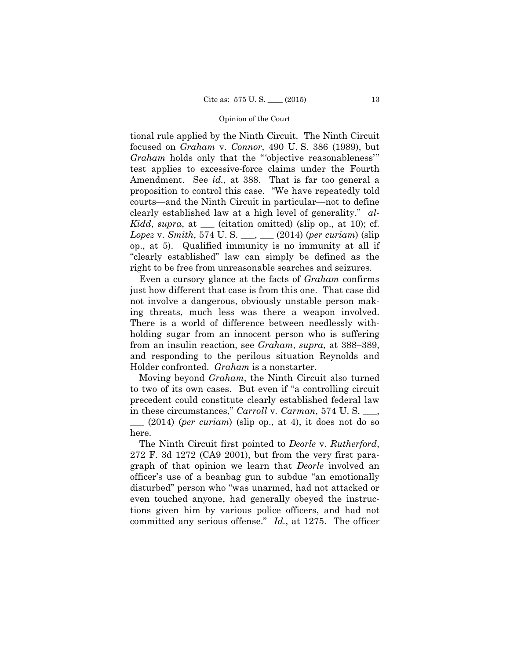tional rule applied by the Ninth Circuit. The Ninth Circuit focused on *Graham* v. *Connor*, 490 U. S. 386 (1989), but *Graham* holds only that the "'objective reasonableness'" test applies to excessive-force claims under the Fourth Amendment. See *id.*, at 388. That is far too general a proposition to control this case. "We have repeatedly told courts—and the Ninth Circuit in particular—not to define clearly established law at a high level of generality." *al-Kidd*, *supra*, at \_\_\_ (citation omitted) (slip op., at 10); cf. *Lopez* v. *Smith*, 574 U. S. \_\_\_, \_\_\_ (2014) (*per curiam*) (slip op., at 5). Qualified immunity is no immunity at all if "clearly established" law can simply be defined as the right to be free from unreasonable searches and seizures.

Even a cursory glance at the facts of *Graham* confirms just how different that case is from this one. That case did not involve a dangerous, obviously unstable person making threats, much less was there a weapon involved. There is a world of difference between needlessly withholding sugar from an innocent person who is suffering from an insulin reaction, see *Graham*, *supra*, at 388–389, and responding to the perilous situation Reynolds and Holder confronted. *Graham* is a nonstarter.

 Moving beyond *Graham*, the Ninth Circuit also turned to two of its own cases. But even if "a controlling circuit precedent could constitute clearly established federal law in these circumstances," *Carroll* v. *Carman*, 574 U. S. \_\_\_,

\_\_\_ (2014) (*per curiam*) (slip op., at 4), it does not do so here.

The Ninth Circuit first pointed to *Deorle* v. *Rutherford*, 272 F. 3d 1272 (CA9 2001), but from the very first paragraph of that opinion we learn that *Deorle* involved an officer's use of a beanbag gun to subdue "an emotionally disturbed" person who "was unarmed, had not attacked or even touched anyone, had generally obeyed the instructions given him by various police officers, and had not committed any serious offense." *Id.*, at 1275. The officer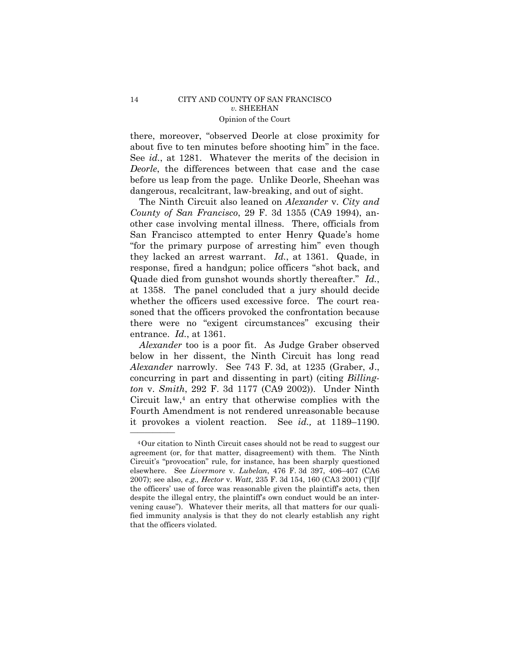there, moreover, "observed Deorle at close proximity for about five to ten minutes before shooting him" in the face. See *id.*, at 1281. Whatever the merits of the decision in *Deorle*, the differences between that case and the case before us leap from the page. Unlike Deorle, Sheehan was dangerous, recalcitrant, law-breaking, and out of sight.

The Ninth Circuit also leaned on *Alexander* v. *City and County of San Francisco*, 29 F. 3d 1355 (CA9 1994), another case involving mental illness. There, officials from San Francisco attempted to enter Henry Quade's home "for the primary purpose of arresting him" even though they lacked an arrest warrant. *Id.*, at 1361. Quade, in response, fired a handgun; police officers "shot back, and Quade died from gunshot wounds shortly thereafter." *Id.*, at 1358. The panel concluded that a jury should decide whether the officers used excessive force. The court reasoned that the officers provoked the confrontation because there were no "exigent circumstances" excusing their entrance. *Id.*, at 1361.

 *Alexander* narrowly. See 743 F. 3d, at 1235 (Graber, J., it provokes a violent reaction. See *id.*, at 1189–1190. *Alexander* too is a poor fit. As Judge Graber observed below in her dissent, the Ninth Circuit has long read concurring in part and dissenting in part) (citing *Billington* v. *Smith*, 292 F. 3d 1177 (CA9 2002)). Under Ninth Circuit law, $4$  an entry that otherwise complies with the Fourth Amendment is not rendered unreasonable because

 fied immunity analysis is that they do not clearly establish any right 4Our citation to Ninth Circuit cases should not be read to suggest our agreement (or, for that matter, disagreement) with them. The Ninth Circuit's "provocation" rule, for instance, has been sharply questioned elsewhere. See *Livermore* v. *Lubelan*, 476 F. 3d 397, 406–407 (CA6 2007); see also, *e.g., Hector* v. *Watt*, 235 F. 3d 154, 160 (CA3 2001) ("[I]f the officers' use of force was reasonable given the plaintiff's acts, then despite the illegal entry, the plaintiff's own conduct would be an intervening cause"). Whatever their merits, all that matters for our qualithat the officers violated.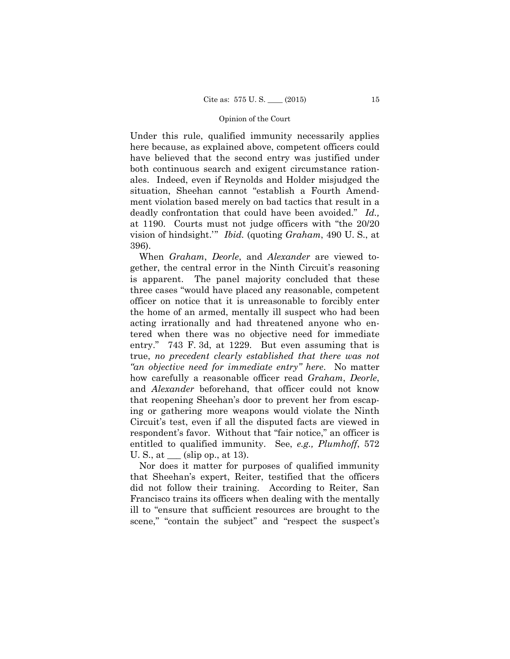at 1190. Courts must not judge officers with "the 20/20 Under this rule, qualified immunity necessarily applies here because, as explained above, competent officers could have believed that the second entry was justified under both continuous search and exigent circumstance rationales. Indeed, even if Reynolds and Holder misjudged the situation, Sheehan cannot "establish a Fourth Amendment violation based merely on bad tactics that result in a deadly confrontation that could have been avoided." *Id.,*  vision of hindsight.'" *Ibid.* (quoting *Graham*, 490 U. S., at 396).

 true, *no precedent clearly established that there was not*  When *Graham*, *Deorle*, and *Alexander* are viewed together, the central error in the Ninth Circuit's reasoning is apparent. The panel majority concluded that these three cases "would have placed any reasonable, competent officer on notice that it is unreasonable to forcibly enter the home of an armed, mentally ill suspect who had been acting irrationally and had threatened anyone who entered when there was no objective need for immediate entry." 743 F. 3d, at 1229. But even assuming that is *"an objective need for immediate entry" here*. No matter how carefully a reasonable officer read *Graham*, *Deorle*, and *Alexander* beforehand, that officer could not know that reopening Sheehan's door to prevent her from escaping or gathering more weapons would violate the Ninth Circuit's test, even if all the disputed facts are viewed in respondent's favor. Without that "fair notice," an officer is entitled to qualified immunity. See, *e.g., Plumhoff*, 572 U. S., at  $\_\_\_$  (slip op., at 13).

Nor does it matter for purposes of qualified immunity that Sheehan's expert, Reiter, testified that the officers did not follow their training. According to Reiter, San Francisco trains its officers when dealing with the mentally ill to "ensure that sufficient resources are brought to the scene," "contain the subject" and "respect the suspect's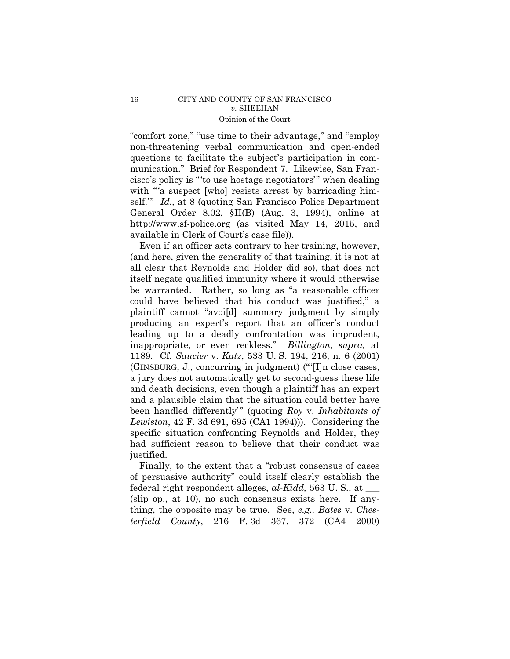"comfort zone," "use time to their advantage," and "employ non-threatening verbal communication and open-ended questions to facilitate the subject's participation in communication." Brief for Respondent 7. Likewise, San Francisco's policy is "'to use hostage negotiators'" when dealing with "'a suspect [who] resists arrest by barricading himself.'" *Id.,* at 8 (quoting San Francisco Police Department General Order 8.02, §II(B) (Aug. 3, 1994), online at http://www.sf-police.org (as visited May 14, 2015, and available in Clerk of Court's case file)).

Even if an officer acts contrary to her training, however, (and here, given the generality of that training, it is not at all clear that Reynolds and Holder did so), that does not itself negate qualified immunity where it would otherwise be warranted. Rather, so long as "a reasonable officer could have believed that his conduct was justified," a plaintiff cannot "avoi[d] summary judgment by simply producing an expert's report that an officer's conduct leading up to a deadly confrontation was imprudent, inappropriate, or even reckless." *Billington*, *supra,* at 1189*.* Cf. *Saucier* v. *Katz*, 533 U. S. 194, 216, n. 6 (2001) (GINSBURG, J., concurring in judgment) ("'[I]n close cases, a jury does not automatically get to second-guess these life and death decisions, even though a plaintiff has an expert and a plausible claim that the situation could better have been handled differently'" (quoting *Roy* v. *Inhabitants of Lewiston*, 42 F. 3d 691, 695 (CA1 1994))). Considering the specific situation confronting Reynolds and Holder, they had sufficient reason to believe that their conduct was justified.

Finally, to the extent that a "robust consensus of cases of persuasive authority" could itself clearly establish the federal right respondent alleges, *al-Kidd,* 563 U. S., at \_\_\_ (slip op., at 10), no such consensus exists here. If anything, the opposite may be true. See, *e.g., Bates* v. *Chesterfield County*, 216 F. 3d 367, 372 (CA4 2000)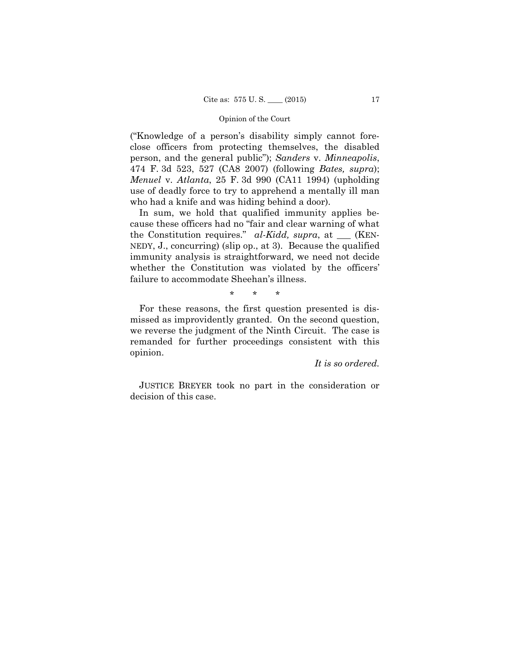("Knowledge of a person's disability simply cannot foreclose officers from protecting themselves, the disabled person, and the general public"); *Sanders* v. *Minneapolis*, 474 F. 3d 523, 527 (CA8 2007) (following *Bates, supra*); *Menuel* v. *Atlanta*, 25 F. 3d 990 (CA11 1994) (upholding use of deadly force to try to apprehend a mentally ill man who had a knife and was hiding behind a door).

In sum, we hold that qualified immunity applies because these officers had no "fair and clear warning of what the Constitution requires." *al-Kidd, supra*, at \_\_\_ (KEN-NEDY, J., concurring) (slip op., at 3). Because the qualified immunity analysis is straightforward, we need not decide whether the Constitution was violated by the officers' failure to accommodate Sheehan's illness.

\* \* \*

For these reasons, the first question presented is dismissed as improvidently granted. On the second question, we reverse the judgment of the Ninth Circuit. The case is remanded for further proceedings consistent with this opinion.

*It is so ordered.*

 JUSTICE BREYER took no part in the consideration or decision of this case.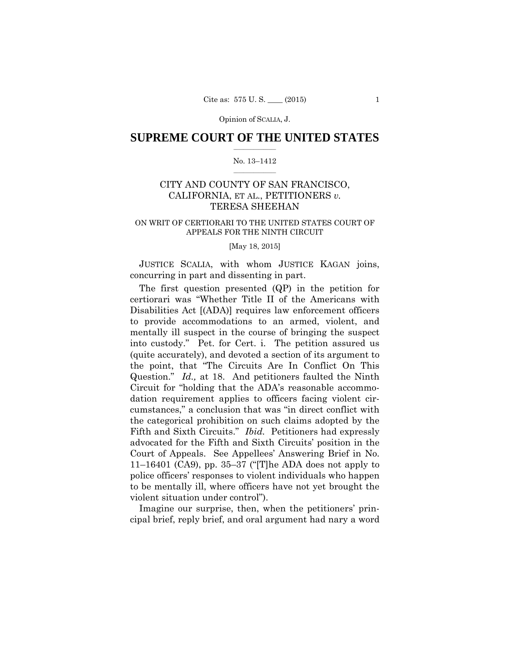Opinion of SCALIA, J.

### $\frac{1}{2}$  ,  $\frac{1}{2}$  ,  $\frac{1}{2}$  ,  $\frac{1}{2}$  ,  $\frac{1}{2}$  ,  $\frac{1}{2}$  ,  $\frac{1}{2}$ **SUPREME COURT OF THE UNITED STATES**

#### $\frac{1}{2}$  ,  $\frac{1}{2}$  ,  $\frac{1}{2}$  ,  $\frac{1}{2}$  ,  $\frac{1}{2}$  ,  $\frac{1}{2}$ No. 13–1412

# CITY AND COUNTY OF SAN FRANCISCO, CALIFORNIA, ET AL., PETITIONERS *v.* TERESA SHEEHAN

### ON WRIT OF CERTIORARI TO THE UNITED STATES COURT OF APPEALS FOR THE NINTH CIRCUIT

### [May 18, 2015]

JUSTICE SCALIA, with whom JUSTICE KAGAN joins, concurring in part and dissenting in part.

The first question presented (QP) in the petition for certiorari was "Whether Title II of the Americans with Disabilities Act [(ADA)] requires law enforcement officers to provide accommodations to an armed, violent, and mentally ill suspect in the course of bringing the suspect into custody." Pet. for Cert. i. The petition assured us (quite accurately), and devoted a section of its argument to the point, that "The Circuits Are In Conflict On This Question." *Id.,* at 18. And petitioners faulted the Ninth Circuit for "holding that the ADA's reasonable accommodation requirement applies to officers facing violent circumstances," a conclusion that was "in direct conflict with the categorical prohibition on such claims adopted by the Fifth and Sixth Circuits." *Ibid.* Petitioners had expressly advocated for the Fifth and Sixth Circuits' position in the Court of Appeals. See Appellees' Answering Brief in No. 11–16401 (CA9), pp. 35–37 ("The ADA does not apply to police officers' responses to violent individuals who happen to be mentally ill, where officers have not yet brought the violent situation under control").

Imagine our surprise, then, when the petitioners' principal brief, reply brief, and oral argument had nary a word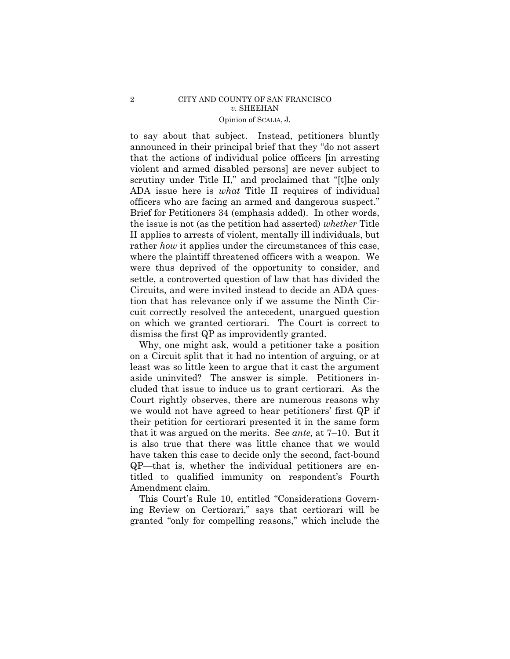# Opinion of SCALIA, J. 2 CITY AND COUNTY OF SAN FRANCISCO *v.* SHEEHAN

to say about that subject. Instead, petitioners bluntly announced in their principal brief that they "do not assert that the actions of individual police officers [in arresting violent and armed disabled persons] are never subject to scrutiny under Title II," and proclaimed that "[t]he only ADA issue here is *what* Title II requires of individual officers who are facing an armed and dangerous suspect." Brief for Petitioners 34 (emphasis added). In other words, the issue is not (as the petition had asserted) *whether* Title II applies to arrests of violent, mentally ill individuals, but rather *how* it applies under the circumstances of this case, where the plaintiff threatened officers with a weapon. We were thus deprived of the opportunity to consider, and settle, a controverted question of law that has divided the Circuits, and were invited instead to decide an ADA question that has relevance only if we assume the Ninth Circuit correctly resolved the antecedent, unargued question on which we granted certiorari. The Court is correct to dismiss the first QP as improvidently granted.

Why, one might ask, would a petitioner take a position on a Circuit split that it had no intention of arguing, or at least was so little keen to argue that it cast the argument aside uninvited? The answer is simple. Petitioners included that issue to induce us to grant certiorari. As the Court rightly observes, there are numerous reasons why we would not have agreed to hear petitioners' first QP if their petition for certiorari presented it in the same form that it was argued on the merits. See *ante,* at 7–10. But it is also true that there was little chance that we would have taken this case to decide only the second, fact-bound QP—that is, whether the individual petitioners are entitled to qualified immunity on respondent's Fourth Amendment claim.

This Court's Rule 10, entitled "Considerations Governing Review on Certiorari," says that certiorari will be granted "only for compelling reasons," which include the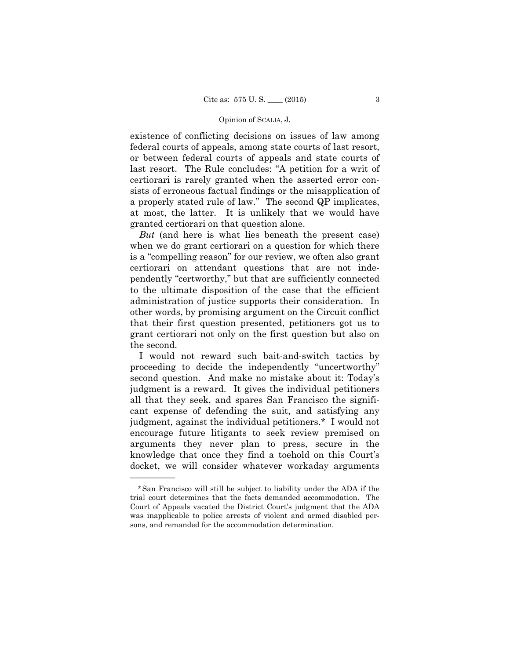#### Opinion of SCALIA, J.

existence of conflicting decisions on issues of law among federal courts of appeals, among state courts of last resort, or between federal courts of appeals and state courts of last resort. The Rule concludes: "A petition for a writ of certiorari is rarely granted when the asserted error consists of erroneous factual findings or the misapplication of a properly stated rule of law." The second QP implicates, at most, the latter. It is unlikely that we would have granted certiorari on that question alone.

*But* (and here is what lies beneath the present case) when we do grant certiorari on a question for which there is a "compelling reason" for our review, we often also grant certiorari on attendant questions that are not independently "certworthy," but that are sufficiently connected to the ultimate disposition of the case that the efficient administration of justice supports their consideration. In other words, by promising argument on the Circuit conflict that their first question presented, petitioners got us to grant certiorari not only on the first question but also on the second.

I would not reward such bait-and-switch tactics by proceeding to decide the independently "uncertworthy" second question. And make no mistake about it: Today's judgment is a reward. It gives the individual petitioners all that they seek, and spares San Francisco the significant expense of defending the suit, and satisfying any judgment, against the individual petitioners.\* I would not encourage future litigants to seek review premised on arguments they never plan to press, secure in the knowledge that once they find a toehold on this Court's docket, we will consider whatever workaday arguments

——————

<sup>\*</sup>San Francisco will still be subject to liability under the ADA if the trial court determines that the facts demanded accommodation. The Court of Appeals vacated the District Court's judgment that the ADA was inapplicable to police arrests of violent and armed disabled persons, and remanded for the accommodation determination.